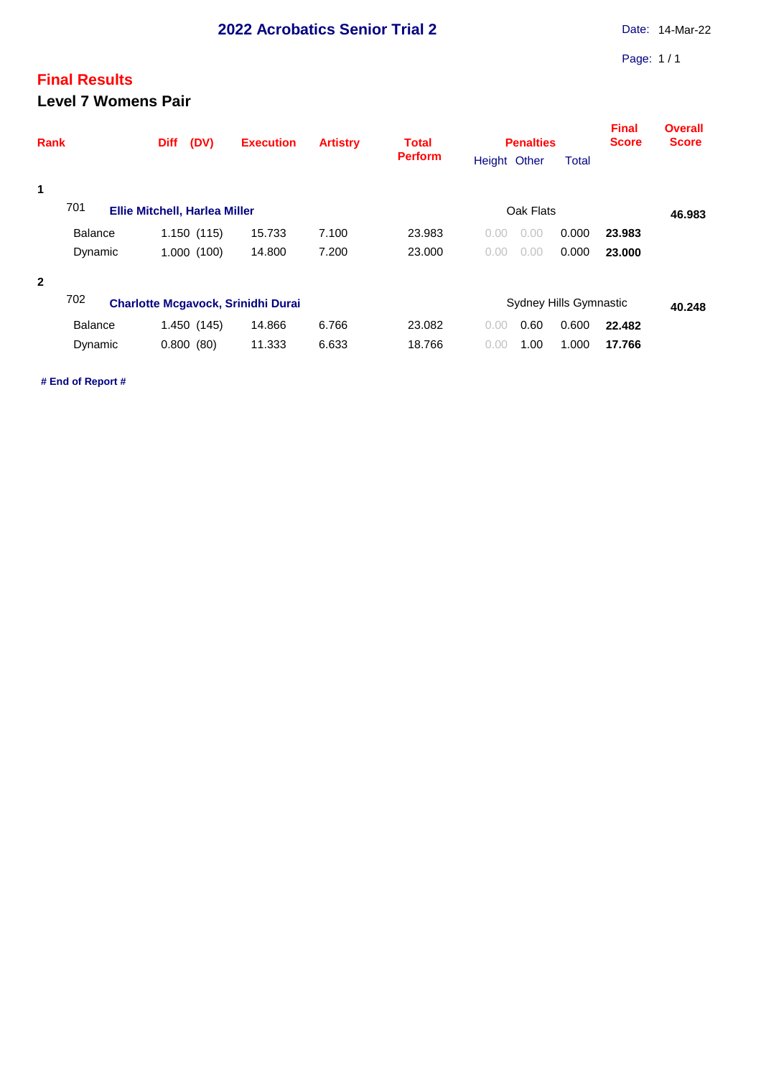## **Final Results Level 7 Womens Pair**

| <b>Perform</b><br>Height Other<br><b>Total</b><br>1<br>701<br>Oak Flats<br><b>Ellie Mitchell, Harlea Miller</b><br>46.983<br>15.733<br>7.100<br>0.000<br><b>Balance</b><br>1.150(115)<br>23.983<br>0.00<br>23.983<br>0.00<br>1.000(100)<br>14.800<br>7.200<br>0.000<br>Dynamic<br>23,000<br>0.00<br>23,000<br>0.00<br>$\overline{2}$<br>702<br><b>Charlotte Mcgavock, Srinidhi Durai</b><br>Sydney Hills Gymnastic<br>40.248<br>14.866<br>6.766<br>0.60<br>0.600<br><b>Balance</b><br>1.450 (145)<br>23.082<br>22.482<br>0.00<br>11.333<br>1.000<br>0.800(80)<br>6.633<br>18.766<br>1.00<br>Dynamic<br>17.766<br>0.00 | Rank |  | (DV)<br><b>Diff</b> | <b>Execution</b> | <b>Artistry</b> | <b>Total</b> |  | <b>Penalties</b> | <b>Final</b><br><b>Score</b> | <b>Overall</b><br><b>Score</b> |  |  |
|-----------------------------------------------------------------------------------------------------------------------------------------------------------------------------------------------------------------------------------------------------------------------------------------------------------------------------------------------------------------------------------------------------------------------------------------------------------------------------------------------------------------------------------------------------------------------------------------------------------------------|------|--|---------------------|------------------|-----------------|--------------|--|------------------|------------------------------|--------------------------------|--|--|
|                                                                                                                                                                                                                                                                                                                                                                                                                                                                                                                                                                                                                       |      |  |                     |                  |                 |              |  |                  |                              |                                |  |  |
|                                                                                                                                                                                                                                                                                                                                                                                                                                                                                                                                                                                                                       |      |  |                     |                  |                 |              |  |                  |                              |                                |  |  |
|                                                                                                                                                                                                                                                                                                                                                                                                                                                                                                                                                                                                                       |      |  |                     |                  |                 |              |  |                  |                              |                                |  |  |
|                                                                                                                                                                                                                                                                                                                                                                                                                                                                                                                                                                                                                       |      |  |                     |                  |                 |              |  |                  |                              |                                |  |  |
|                                                                                                                                                                                                                                                                                                                                                                                                                                                                                                                                                                                                                       |      |  |                     |                  |                 |              |  |                  |                              |                                |  |  |
|                                                                                                                                                                                                                                                                                                                                                                                                                                                                                                                                                                                                                       |      |  |                     |                  |                 |              |  |                  |                              |                                |  |  |
|                                                                                                                                                                                                                                                                                                                                                                                                                                                                                                                                                                                                                       |      |  |                     |                  |                 |              |  |                  |                              |                                |  |  |
|                                                                                                                                                                                                                                                                                                                                                                                                                                                                                                                                                                                                                       |      |  |                     |                  |                 |              |  |                  |                              |                                |  |  |
|                                                                                                                                                                                                                                                                                                                                                                                                                                                                                                                                                                                                                       |      |  |                     |                  |                 |              |  |                  |                              |                                |  |  |

**# End of Report #**